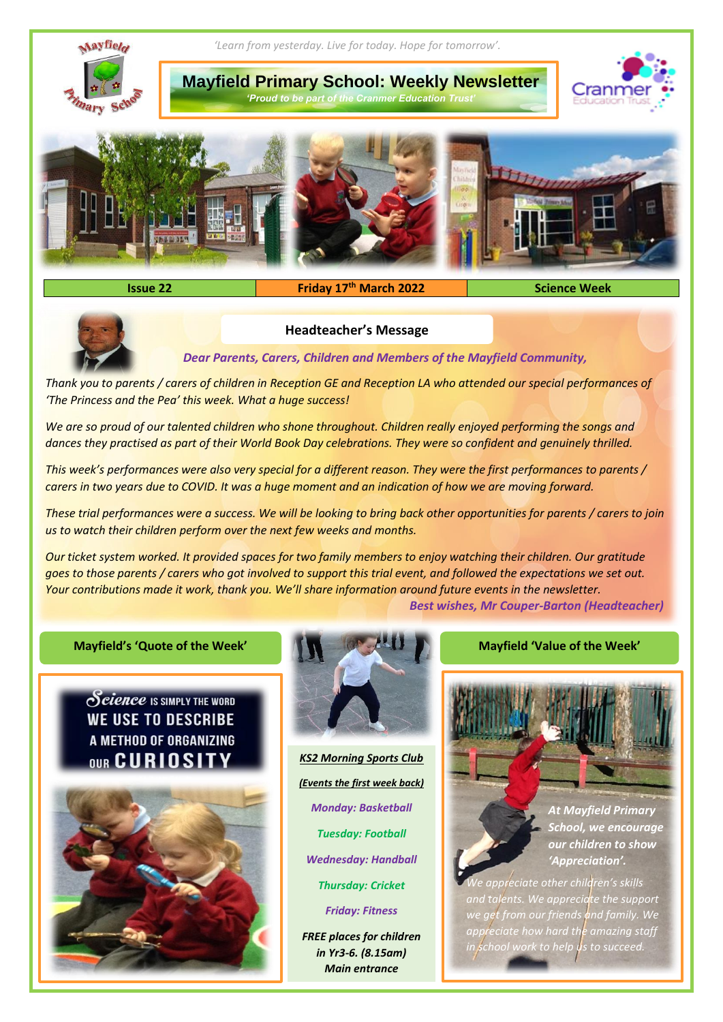

# **Issue 22 Friday 17th March 2022 Science Week**



## **Headteacher's Message**

*Dear Parents, Carers, Children and Members of the Mayfield Community,*

*Thank you to parents / carers of children in Reception GE and Reception LA who attended our special performances of 'The Princess and the Pea' this week. What a huge success!*

*We are so proud of our talented children who shone throughout. Children really enjoyed performing the songs and dances they practised as part of their World Book Day celebrations. They were so confident and genuinely thrilled.*

*This week's performances were also very special for a different reason. They were the first performances to parents / carers in two years due to COVID. It was a huge moment and an indication of how we are moving forward.* 

*These trial performances were a success. We will be looking to bring back other opportunities for parents / carers to join us to watch their children perform over the next few weeks and months.* 

*Our ticket system worked. It provided spaces for two family members to enjoy watching their children. Our gratitude goes to those parents / carers who got involved to support this trial event, and followed the expectations we set out. Your contributions made it work, thank you. We'll share information around future events in the newsletter. Best wishes, Mr Couper-Barton (Headteacher)*

#### **Mayfield's 'Quote of the Week' Mayfield 'Value of the Week'**

Science IS SIMPLY THE WORD **WE USE TO DESCRIBE** A METHOD OF ORGANIZING OUR CURIOSITY





*KS2 Morning Sports Club (Events the first week back) Monday: Basketball Tuesday: Football Wednesday: Handball Thursday: Cricket Friday: Fitness*

*FREE places for children in Yr3-6. (8.15am) Main entrance*



*School, we encourage our children to show 'Appreciation'.* 

*We appreciate other children's skills and talents. We appreciate the support we get from our friends and family. We appreciate how hard the amazing staff in school work to help us to succeed.*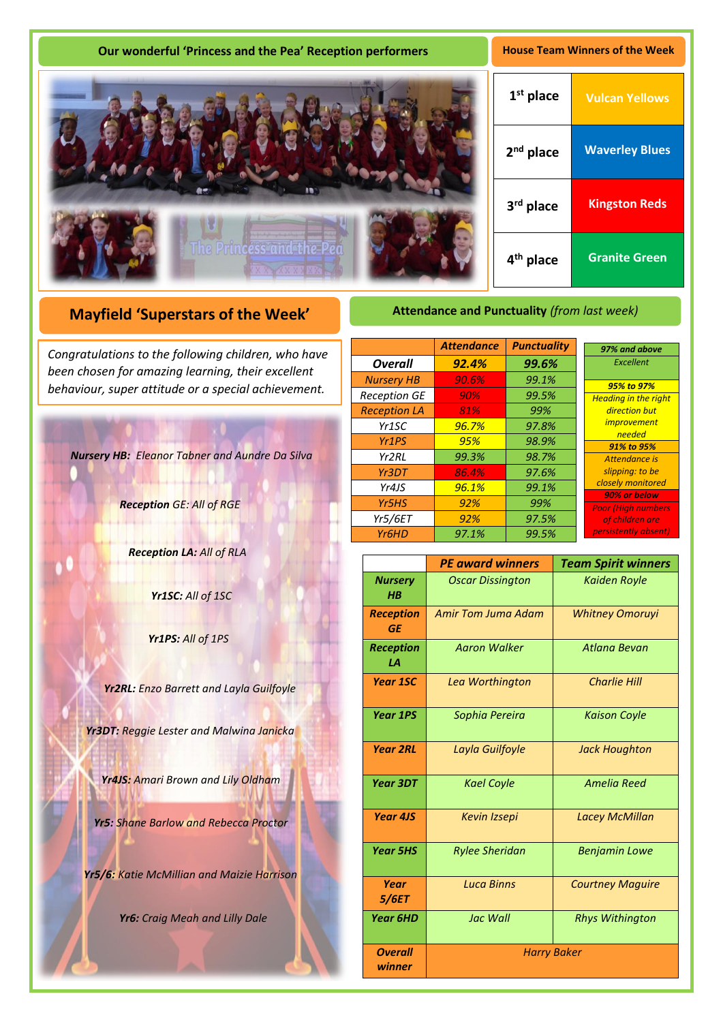## **Our wonderful 'Princess and the Pea' Reception performers <b>House Team Winners of the Week**



# **Mayfield 'Superstars of the Week'**

been chosen for amazing learning, their excellent *Congratulations to the following children, who have behaviour, super attitude or a special achievement.*

*Nursery HB: Eleanor Tabner and Aundre Da Silva*

*Reception GE: All of RGE*

*Reception LA: All of RLA*

*Yr1SC: All of 1SC*

*Yr1PS: All of 1PS*

*Yr2RL: Enzo Barrett and Layla Guilfoyle*

*Yr3DT: Reggie Lester and Malwina Janicka*

*Yr4JS: Amari Brown and Lily Oldham*

*Yr5: Shane Barlow and Rebecca Proctor*

*Yr5/6: Katie McMillian and Maizie Harrison*

*Yr6: Craig Meah and Lilly Dale* 

# **Attendance and Punctuality** *(from last week)*

|                                | <b>Attendance</b> | <b>Punctuality</b> | 97% and above                             |
|--------------------------------|-------------------|--------------------|-------------------------------------------|
| <b>Overall</b>                 | 92.4%             | 99.6%              | Excellent                                 |
| <b>Nursery HB</b>              | 90.6%             | 99.1%              | 95% to 97%                                |
| <b>Reception GE</b>            | 90%               | 99.5%              | <b>Heading in the right</b>               |
| <b>Reception LA</b>            | 81%               | 99%                | direction but                             |
| Yr <sub>1</sub> SC             | 96.7%             | 97.8%              | <i>improvement</i>                        |
| Yr <sub>1</sub> P <sub>S</sub> | 95%               | 98.9%              | needed<br>91% to 95%                      |
| Yr <sub>2</sub> RL             | 99.3%             | 98.7%              | Attendance is                             |
| Yr3DT                          | 86.4%             | 97.6%              | slipping: to be                           |
| Yr4JS                          | 96.1%             | 99.1%              | closely monitored                         |
| Yr5HS                          | 92%               | 99%                | 90% or below<br><b>Poor (High numbers</b> |
| <b>Yr5/6ET</b>                 | 92%               | 97.5%              | of children are                           |
| Yr <sub>6</sub> HD             | 97.1%             | 99.5%              | persistently absent)                      |

|                               | <b>PE award winners</b> | <b>Team Spirit winners</b> |  |
|-------------------------------|-------------------------|----------------------------|--|
| <b>Nursery</b><br>$H$ $B$     | <b>Oscar Dissington</b> | <b>Kaiden Royle</b>        |  |
| <b>Reception</b><br><b>GE</b> | Amir Tom Juma Adam      | <b>Whitney Omoruyi</b>     |  |
| <b>Reception</b><br>LA        | <b>Aaron Walker</b>     | <b>Atlana Bevan</b>        |  |
| <b>Year 1SC</b>               | Lea Worthington         | <b>Charlie Hill</b>        |  |
| <b>Year 1PS</b>               | Sophia Pereira          | <b>Kaison Coyle</b>        |  |
| <b>Year 2RL</b>               | Layla Guilfoyle         | <b>Jack Houghton</b>       |  |
| <b>Year 3DT</b>               | <b>Kael Coyle</b>       | <b>Amelia Reed</b>         |  |
| <b>Year 4JS</b>               | <b>Kevin Izsepi</b>     | <b>Lacey McMillan</b>      |  |
| <b>Year 5HS</b>               | <b>Rylee Sheridan</b>   | <b>Benjamin Lowe</b>       |  |
| Year<br><i><b>5/6ET</b></i>   | <b>Luca Binns</b>       | <b>Courtney Maguire</b>    |  |
| <b>Year 6HD</b>               | <b>Jac Wall</b>         | <b>Rhys Withington</b>     |  |
| <b>Overall</b><br>winner      | <b>Harry Baker</b>      |                            |  |